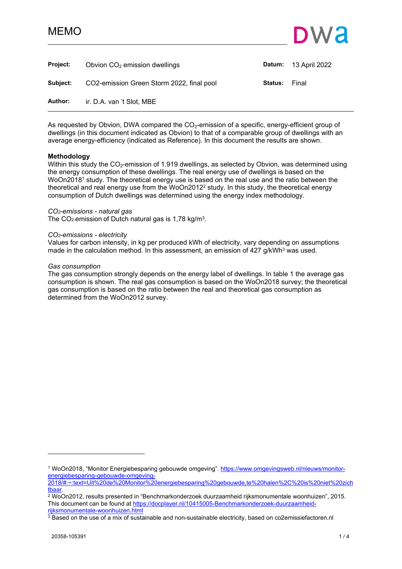## MEMO



<span id="page-0-0"></span>

| <b>Project:</b> | Obvion $CO2$ emission dwellings           | Datum:  | 13 April 2022 |
|-----------------|-------------------------------------------|---------|---------------|
| Subject:        | CO2-emission Green Storm 2022, final pool | Status: | Final         |
| Author:         | ir. D.A. van 't Slot, MBE                 |         |               |

As requested by Obvion, DWA compared the  $CO<sub>2</sub>$ -emission of a specific, energy-efficient group of dwellings (in this document indicated as Obvion) to that of a comparable group of dwellings with an average energy-efficiency (indicated as Reference). In this document the results are shown.

#### **Methodology**

Within this study the  $CO<sub>2</sub>$ -emission of 1.919 dwellings, as selected by Obvion, was determined using the energy consumption of these dwellings. The real energy use of dwellings is based on the WoOn2018<sup>1</sup> study. The theoretical energy use is based on the real use and the ratio between the theoretical and real energy use from the WoOn2012<sup>2</sup> study. In this study, the theoretical energy consumption of Dutch dwellings was determined using the energy index methodology.

#### *CO2-emissions - natural gas*

The CO<sub>2</sub>-emission of Dutch natural gas is 1,78 kg/m<sup>3</sup>.

#### *CO2-emissions - electricity*

Values for carbon intensity, in kg per produced kWh of electricity, vary depending on assumptions made in the calculation method. In this assessment, an emission of 427  $g/kWh^3$  was used.

#### *Gas consumption*

The gas consumption strongly depends on the energy label of dwellings. In table 1 the average gas consumption is shown. The real gas consumption is based on the WoOn2018 survey; the theoretical gas consumption is based on the ratio between the real and theoretical gas consumption as determined from the WoOn2012 survey.

<sup>&</sup>lt;sup>1</sup> WoOn2018, "Monitor Energiebesparing gebouwde omgeving". [https://www.omgevingsweb.nl/nieuws/monitor](https://www.omgevingsweb.nl/nieuws/monitor-energiebesparing-gebouwde-omgeving-2018/#:~:text=Uit%20de%20Monitor%20energiebesparing%20gebouwde,te%20halen,%20is%20niet%20zichtbaar)[energiebesparing-gebouwde-omgeving-](https://www.omgevingsweb.nl/nieuws/monitor-energiebesparing-gebouwde-omgeving-2018/#:~:text=Uit%20de%20Monitor%20energiebesparing%20gebouwde,te%20halen,%20is%20niet%20zichtbaar)

[<sup>2018/#:~:</sup>text=Uit%20de%20Monitor%20energiebesparing%20gebouwde,te%20halen%2C%20is%20niet%20zich](https://www.omgevingsweb.nl/nieuws/monitor-energiebesparing-gebouwde-omgeving-2018/#:~:text=Uit%20de%20Monitor%20energiebesparing%20gebouwde,te%20halen,%20is%20niet%20zichtbaar) [tbaar](https://www.omgevingsweb.nl/nieuws/monitor-energiebesparing-gebouwde-omgeving-2018/#:~:text=Uit%20de%20Monitor%20energiebesparing%20gebouwde,te%20halen,%20is%20niet%20zichtbaar).

<sup>2</sup> WoOn2012, results presented in "Benchmarkonderzoek duurzaamheid rijksmonumentale woonhuizen", 2015. This document can be found at [https://docplayer.nl/10415005-Benchmarkonderzoek-duurzaamheid](https://docplayer.nl/10415005-Benchmarkonderzoek-duurzaamheid-rijksmonumentale-woonhuizen.html)[rijksmonumentale-woonhuizen.html](https://docplayer.nl/10415005-Benchmarkonderzoek-duurzaamheid-rijksmonumentale-woonhuizen.html) 

 $^3$  Based on the use of a mix of sustainable and non-sustainable electricity, based on co2emissiefactoren.nl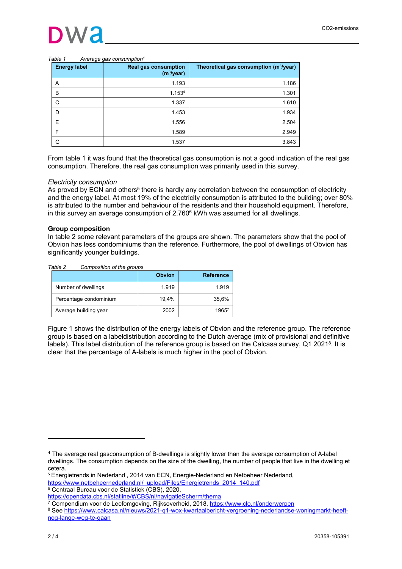#### *Table 1 Average gas consumption<sup>1</sup>*

| <b>Energy label</b> | <b>Real gas consumption</b><br>(m <sup>3</sup> /year) | Theoretical gas consumption (m <sup>3</sup> /year) |
|---------------------|-------------------------------------------------------|----------------------------------------------------|
| Α                   | 1.193                                                 | 1.186                                              |
| B                   | 1.1534                                                | 1.301                                              |
| C                   | 1.337                                                 | 1.610                                              |
| D                   | 1.453                                                 | 1.934                                              |
| E                   | 1.556                                                 | 2.504                                              |
| F                   | 1.589                                                 | 2.949                                              |
| G                   | 1.537                                                 | 3.843                                              |

From table 1 it was found that the theoretical gas consumption is not a good indication of the real gas consumption. Therefore, the real gas consumption was primarily used in this survey.

#### *Electricity consumption*

As proved by ECN and others<sup>5</sup> there is hardly any correlation between the consumption of electricity and the energy label. At most 19% of the electricity consumption is attributed to the building; over 80% is attributed to the number and behaviour of the residents and their household equipment. Therefore, in this survey an average consumption of  $2.760^6$  kWh was assumed for all dwellings.

#### **Group composition**

In table 2 some relevant parameters of the groups are shown. The parameters show that the pool of Obvion has less condominiums than the reference. Furthermore, the pool of dwellings of Obvion has significantly younger buildings.

*Table 2 Composition of the groups*

|                        | <b>Obvion</b> | <b>Reference</b> |
|------------------------|---------------|------------------|
| Number of dwellings    | 1.919         | 1.919            |
| Percentage condominium | 19.4%         | 35.6%            |
| Average building year  | 2002          | 1965             |

Figure 1 shows the distribution of the energy labels of Obvion and the reference group. The reference group is based on a labeldistribution according to the Dutch average (mix of provisional and definitive labels). This label distribution of the reference group is based on the Calcasa survey, Q1 20218. It is clear that the percentage of A-labels is much higher in the pool of Obvion.

<sup>4</sup> The average real gasconsumption of B-dwellings is slightly lower than the average consumption of A-label dwellings. The consumption depends on the size of the dwelling, the number of people that live in the dwelling et cetera.

<sup>5</sup> Energietrends in Nederland', 2014 van ECN, Energie-Nederland en Netbeheer Nederland,

[https://www.netbeheernederland.nl/\\_upload/Files/Energietrends\\_2014\\_140.pdf](https://www.netbeheernederland.nl/_upload/Files/Energietrends_2014_140.pdf)

<sup>6</sup> Centraal Bureau voor de Statistiek (CBS), 2020,

<https://opendata.cbs.nl/statline/#/CBS/nl/navigatieScherm/thema>

<sup>&</sup>lt;sup>7</sup> Compendium voor de Leefomgeving, Rijksoverheid, 2018, <u><https://www.clo.nl/onderwerpen></u> 8 See [https://www.calcasa.nl/nieuws/2021-q1-wox-kwartaalbericht-vergroening-nederlandse-woningmarkt-heeft](https://www.calcasa.nl/nieuws/2021-q1-wox-kwartaalbericht-vergroening-nederlandse-woningmarkt-heeft-nog-lange-weg-te-gaan)[nog-lange-weg-te-gaan](https://www.calcasa.nl/nieuws/2021-q1-wox-kwartaalbericht-vergroening-nederlandse-woningmarkt-heeft-nog-lange-weg-te-gaan)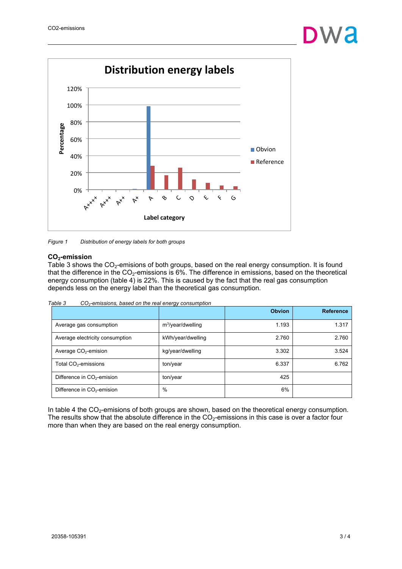

*Figure 1 Distribution of energy labels for both groups*

### **CO2-emission**

Table 3 shows the  $CO<sub>2</sub>$ -emisions of both groups, based on the real energy consumption. It is found that the difference in the  $CO<sub>2</sub>$ -emissions is 6%. The difference in emissions, based on the theoretical energy consumption (table 4) is 22%. This is caused by the fact that the real gas consumption depends less on the energy label than the theoretical gas consumption.

| Table 3<br>$CO2$ -emissions, based on the real energy consumption |
|-------------------------------------------------------------------|
|-------------------------------------------------------------------|

|                                  |                      | <b>Obvion</b> | <b>Reference</b> |
|----------------------------------|----------------------|---------------|------------------|
| Average gas consumption          | $m^3$ /year/dwelling | 1.193         | 1.317            |
| Average electricity consumption  | kWh/year/dwelling    | 2.760         | 2.760            |
| Average $CO2$ -emision           | kg/year/dwelling     | 3.302         | 3.524            |
| Total CO <sub>2</sub> -emissions | ton/year             | 6.337         | 6.762            |
| Difference in $CO2$ -emision     | ton/year             | 425           |                  |
| Difference in $CO2$ -emision     | %                    | 6%            |                  |

In table 4 the  $CO<sub>2</sub>$ -emisions of both groups are shown, based on the theoretical energy consumption. The results show that the absolute difference in the  $CO<sub>2</sub>$ -emissions in this case is over a factor four more than when they are based on the real energy consumption.